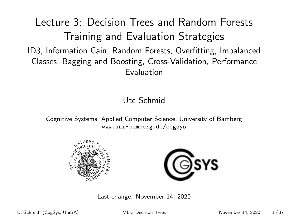# <span id="page-0-0"></span>Lecture 3: Decision Trees and Random Forests Training and Evaluation Strategies ID3, Information Gain, Random Forests, Overfitting, Imbalanced Classes, Bagging and Boosting, Cross-Validation, Performance

Evaluation

#### Ute Schmid

Cognitive Systems, Applied Computer Science, University of Bamberg <www.uni-bamberg.de/cogsys>





Last change: November 14, 2020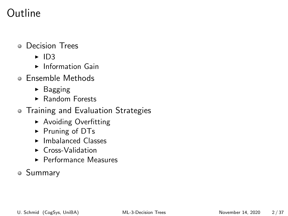## Outline

#### Decision Trees

- $\blacktriangleright$  ID3
- $\blacktriangleright$  Information Gain
- Ensemble Methods
	- $\triangleright$  Bagging
	- ▶ Random Forests
- **Training and Evaluation Strategies** 
	- **Avoiding Overfitting**
	- ▶ Pruning of DTs
	- $\blacktriangleright$  Imbalanced Classes
	- $\triangleright$  Cross-Validation
	- $\blacktriangleright$  Performance Measures

#### Summary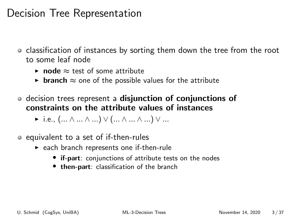### Decision Tree Representation

- classification of instances by sorting them down the tree from the root to some leaf node
	- **► node**  $\approx$  test of some attribute
	- **► branch**  $\approx$  one of the possible values for the attribute
- decision trees represent a disjunction of conjunctions of constraints on the attribute values of instances
	- $\triangleright$  i.e.,  $(... \wedge ... \wedge ...) \vee (... \wedge ... \wedge ...) \vee ...$
- equivalent to a set of if-then-rules
	- $\triangleright$  each branch represents one if-then-rule
		- if-part: conjunctions of attribute tests on the nodes
		- then-part: classification of the branch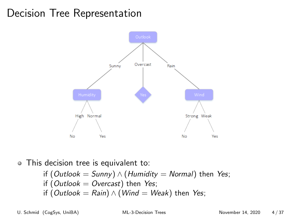## Decision Tree Representation



#### This decision tree is equivalent to:

\n
$$
\text{if } (\text{Outlook} = \text{Sunny}) \land (\text{Humidity} = \text{Normal})
$$
\n then Yes;\n \n if  $(\text{Outlook} = \text{Overcast})$  then Yes;\n \n if  $(\text{Outlook} = \text{Rain}) \land (\text{Wind} = \text{Weak})$  then Yes;\n \n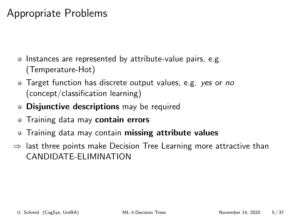### Appropriate Problems

- Instances are represented by attribute-value pairs, e.g. (Temperature-Hot)
- Target function has discrete output values, e.g. yes or no (concept/classification learning)
- **· Disjunctive descriptions** may be required
- Training data may contain errors
- Training data may contain missing attribute values
- $\Rightarrow$  last three points make Decision Tree Learning more attractive than CANDIDATE-ELIMINATION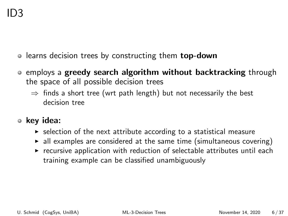- learns decision trees by constructing them top-down
- employs a greedy search algorithm without backtracking through the space of all possible decision trees
	- $\Rightarrow$  finds a short tree (wrt path length) but not necessarily the best decision tree
- key idea:
	- $\triangleright$  selection of the next attribute according to a statistical measure
	- $\blacktriangleright$  all examples are considered at the same time (simultaneous covering)
	- $\triangleright$  recursive application with reduction of selectable attributes until each training example can be classified unambiguously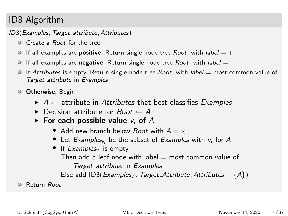#### ID3 Algorithm

ID3(Examples, Target attribute, Attributes)

- **Create a Root for the tree**
- If all examples are **positive**, Return single-node tree *Root*, with *label*  $= +$
- If all examples are negative, Return single-node tree Root, with label  $=$  -
- If Attributes is empty, Return single-node tree Root, with *label* = most common value of Target attribute in Examples
- **O** Otherwise, Begin
	- $\triangleright$  A  $\leftarrow$  attribute in Attributes that best classifies Examples
	- $\blacktriangleright$  Decision attribute for Root  $\leftarrow A$
	- $\triangleright$  For each possible value  $v_i$  of A
		- Add new branch below Root with  $A = v_i$
		- Let Examples<sub>vi</sub> be the subset of Examples with  $v_i$  for A
		- If  $Examples_{v_i}$  is empty Then add a leaf node with label  $=$  most common value of Target\_attribute in Examples Else add ID3 $(Examples_{v_i}, Target\_Attribute, Attributes - {A})$

**C** Return Root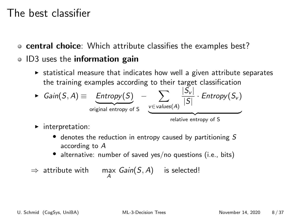#### The best classifier

- central choice: Which attribute classifies the examples best?
- ID3 uses the information gain
	- $\triangleright$  statistical measure that indicates how well a given attribute separates the training examples according to their target classification

• 
$$
Gain(S, A) \equiv \underbrace{Entropy(S)}_{original \ entropy \ of \ S} - \underbrace{\sum_{v \in values(A)} \frac{|S_v|}{|S|} \cdot Entropy(S_v)}_{}
$$

relative entropy of S

- $\blacktriangleright$  interpretation:
	- $\bullet$  denotes the reduction in entropy caused by partitioning S according to A
	- alternative: number of saved yes/no questions (i.e., bits)

$$
\Rightarrow \text{ attribute with} \qquad \max_{A} \text{Gain}(S, A) \qquad \text{is selected!}
$$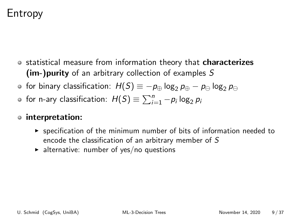## Entropy

- o statistical measure from information theory that **characterizes** (im-)purity of an arbitrary collection of examples S
- **•** for binary classification:  $H(S) \equiv -p_{\oplus} \log_2 p_{\oplus} p_{\ominus} \log_2 p_{\ominus}$
- for n-ary classification:  $H(S) \equiv \sum_{i=1}^{n} -p_i \log_2 p_i$

#### interpretation:

- $\triangleright$  specification of the minimum number of bits of information needed to encode the classification of an arbitrary member of S
- $\blacktriangleright$  alternative: number of yes/no questions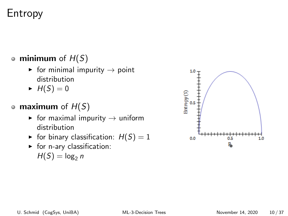## Entropy

#### • minimum of  $H(S)$

- $\triangleright$  for minimal impurity  $\rightarrow$  point distribution
- $\blacktriangleright$  H(S) = 0

#### • maximum of  $H(S)$

- $\triangleright$  for maximal impurity  $\rightarrow$  uniform distribution
- $\blacktriangleright$  for binary classification:  $H(S) = 1$
- $\blacktriangleright$  for n-ary classification:  $H(S) = \log_2 n$

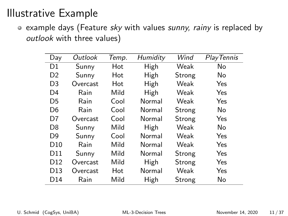• example days (Feature sky with values sunny, rainy is replaced by outlook with three values)

| Day             | Outlook  | Temp. | Humidity | Wind   | Play Tennis |
|-----------------|----------|-------|----------|--------|-------------|
| D <sub>1</sub>  | Sunny    | Hot   | High     | Weak   | No          |
| D <sub>2</sub>  | Sunny    | Hot   | High     | Strong | No          |
| D <sub>3</sub>  | Overcast | Hot   | High     | Weak   | Yes         |
| D <sub>4</sub>  | Rain     | Mild  | High     | Weak   | Yes         |
| D <sub>5</sub>  | Rain     | Cool  | Normal   | Weak   | Yes         |
| D <sub>6</sub>  | Rain     | Cool  | Normal   | Strong | No          |
| D7              | Overcast | Cool  | Normal   | Strong | Yes         |
| D <sub>8</sub>  | Sunny    | Mild  | High     | Weak   | No          |
| D <sub>9</sub>  | Sunny    | Cool  | Normal   | Weak   | Yes         |
| D10             | Rain     | Mild  | Normal   | Weak   | Yes         |
| D <sub>11</sub> | Sunny    | Mild  | Normal   | Strong | Yes         |
| D <sub>12</sub> | Overcast | Mild  | High     | Strong | Yes         |
| D <sub>13</sub> | Overcast | Hot   | Normal   | Weak   | Yes         |
| D <sub>14</sub> | Rain     | Mild  | High     | Strong | No          |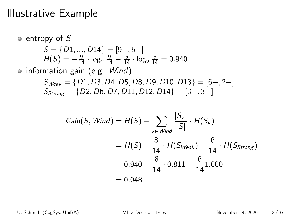\n- entropy of 
$$
S
$$
\n- $S = \{D1, ..., D14\} = [9+, 5-]$
\n- $H(S) = -\frac{9}{14} \cdot \log_2 \frac{9}{14} - \frac{5}{14} \cdot \log_2 \frac{5}{14} = 0.940$
\n- information gain (e.g. Wind)
\n- $S_{Weak} = \{D1, D3, D4, D5, D8, D9, D10, D13\} = [6+, 2-]$
\n- $S_{Strong} = \{D2, D6, D7, D11, D12, D14\} = [3+, 3-]$
\n

Gain(S, Wind) = 
$$
H(S) - \sum_{v \in Wind} \frac{|S_v|}{|S|} \cdot H(S_v)
$$
  
=  $H(S) - \frac{8}{14} \cdot H(S_{Weak}) - \frac{6}{14} \cdot H(S_{Strong})$   
= 0.940 -  $\frac{8}{14} \cdot 0.811 - \frac{6}{14} 1.000$   
= 0.048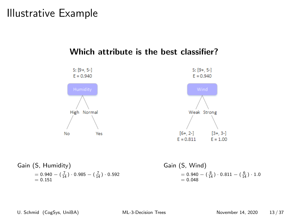



Gain (S, Humidity)  $= 0.940 - (\frac{7}{14}) \cdot 0.985 - (\frac{7}{14}) \cdot 0.592$  $= 0.151$ 

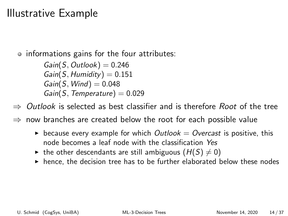• informations gains for the four attributes:

 $Gain(S, Outlook) = 0.246$  $Gain(S, Humidity) = 0.151$  $Gain(S, Wind) = 0.048$  $Gain(S, Temperature) = 0.029$ 

Outlook is selected as best classifier and is therefore Root of the tree

now branches are created below the root for each possible value

- **E** because every example for which *Outlook = Overcast* is positive, this node becomes a leaf node with the classification Yes
- In the other descendants are still ambiguous  $(H(S) \neq 0)$
- $\blacktriangleright$  hence, the decision tree has to be further elaborated below these nodes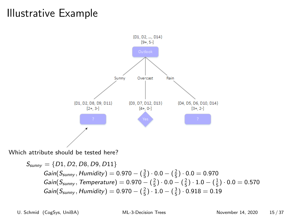

Which attribute should be tested here?

 $S_{\text{sumv}} = \{D1, D2, D8, D9, D11\}$  $Gain(S_{\text{sumny}},$  Humidity) =  $0.970 - (\frac{3}{5}) \cdot 0.0 - (\frac{2}{5}) \cdot 0.0 = 0.970$  $Gain(S_{\text{sumny}},$  Temperature $) = 0.970 - (\frac{2}{5}) \cdot 0.0 - (\frac{2}{5}) \cdot 1.0 - (\frac{1}{5}) \cdot 0.0 = 0.570$  $Gain(S_{\text{sumny}},$  Humidity) =  $0.970 - (\frac{2}{5}) \cdot 1.0 - (\frac{3}{5}) \cdot 0.918 = 0.19$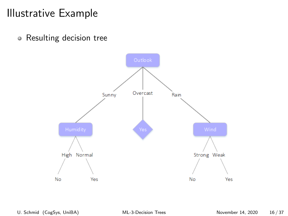• Resulting decision tree

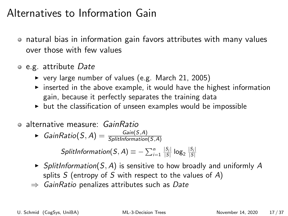### Alternatives to Information Gain

- natural bias in information gain favors attributes with many values over those with few values
- o e.g. attribute Date
	- $\triangleright$  very large number of values (e.g. March 21, 2005)
	- $\triangleright$  inserted in the above example, it would have the highest information gain, because it perfectly separates the training data
	- $\triangleright$  but the classification of unseen examples would be impossible
- alternative measure: GainRatio
	- ► GainRatio $(S, A) = \frac{Gain(S, A)}{SplitInformation(S, A)}$

 $\mathcal{S}$ plitInformation $(S,A)\equiv -\sum_{i=1}^n\frac{|S_i|}{|S|}\log_2\frac{|S_i|}{|S|}$ 

- $\triangleright$  SplitInformation(S, A) is sensitive to how broadly and uniformly A splits  $S$  (entropy of  $S$  with respect to the values of  $A$ )
- $\Rightarrow$  GainRatio penalizes attributes such as Date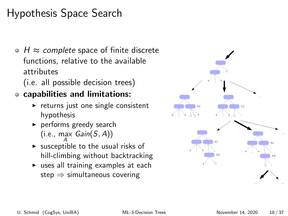# Hypothesis Space Search

 $\bullet$  H  $\approx$  complete space of finite discrete functions, relative to the available attributes

(i.e. all possible decision trees)

#### capabilities and limitations:

- $\triangleright$  returns just one single consistent hypothesis
- $\blacktriangleright$  performs greedy search  $(i.e., max Gain(S, A))$
- $\triangleright$  susceptible to the usual risks of hill-climbing without backtracking
- $\triangleright$  uses all training examples at each step  $\Rightarrow$  simultaneous covering

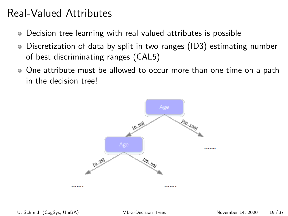### Real-Valued Attributes

- Decision tree learning with real valued attributes is possible
- Discretization of data by split in two ranges (ID3) estimating number of best discriminating ranges (CAL5)
- One attribute must be allowed to occur more than one time on a path in the decision tree!

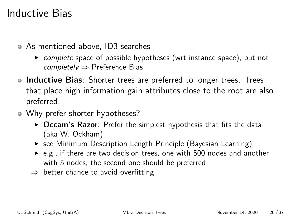### Inductive Bias

- As mentioned above, ID3 searches
	- $\triangleright$  complete space of possible hypotheses (wrt instance space), but not  $completely \Rightarrow$  Preference Bias
- Inductive Bias: Shorter trees are preferred to longer trees. Trees that place high information gain attributes close to the root are also preferred.
- Why prefer shorter hypotheses?
	- $\triangleright$  Occam's Razor: Prefer the simplest hypothesis that fits the data! (aka W. Ockham)
	- $\triangleright$  see Minimum Description Length Principle (Bayesian Learning)
	- $\triangleright$  e.g., if there are two decision trees, one with 500 nodes and another with 5 nodes, the second one should be preferred
	- $\Rightarrow$  better chance to avoid overfitting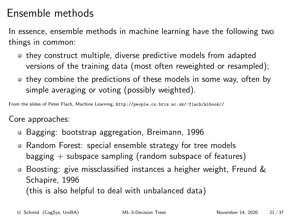## Ensemble methods

In essence, ensemble methods in machine learning have the following two things in common:

- they construct multiple, diverse predictive models from adapted versions of the training data (most often reweighted or resampled);
- they combine the predictions of these models in some way, often by simple averaging or voting (possibly weighted).

From the slides of Peter Flach, Machine Learning, <http://people.cs.bris.ac.uk/~flach/mlbook//>

Core approaches:

- Bagging: bootstrap aggregation, Breimann, 1996
- Random Forest: special ensemble strategy for tree models bagging  $+$  subspace sampling (random subspace of features)
- Boosting: give missclassified instances a heigher weight, Freund & Schapire, 1996

(this is also helpful to deal with unbalanced data)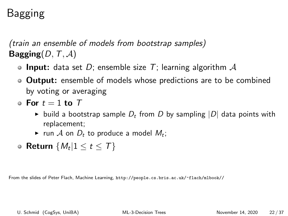# Bagging

(train an ensemble of models from bootstrap samples) Bagging( $D, T, A$ )

- **Input:** data set D; ensemble size T; learning algorithm  $\mathcal A$
- **Output:** ensemble of models whose predictions are to be combined by voting or averaging
- $\bullet$  For  $t = 1$  to  $T$ 
	- build a bootstrap sample  $D_t$  from D by sampling  $|D|$  data points with replacement;
	- $\blacktriangleright$  run  $\mathcal A$  on  $D_t$  to produce a model  $M_t$ ;
- Return  $\{M_t | 1 \le t \le \mathcal{T}\}$

From the slides of Peter Flach, Machine Learning, <http://people.cs.bris.ac.uk/~flach/mlbook//>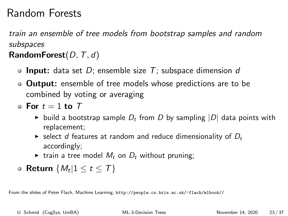## Random Forests

train an ensemble of tree models from bootstrap samples and random subspaces

#### RandomForest( $D, T, d$ )

- **Input:** data set D; ensemble size  $T$ ; subspace dimension d
- **Output:** ensemble of tree models whose predictions are to be combined by voting or averaging
- $\bullet$  For  $t = 1$  to  $T$ 
	- ightharpoontangle build by sampling  $|D|$  data points with replacement;
	- $\triangleright$  select d features at random and reduce dimensionality of  $D_t$ accordingly;
	- $\triangleright$  train a tree model  $M_t$  on  $D_t$  without pruning;
- Return  $\{M_t | 1 \le t \le \mathcal{T}\}$

From the slides of Peter Flach, Machine Learning, <http://people.cs.bris.ac.uk/~flach/mlbook//>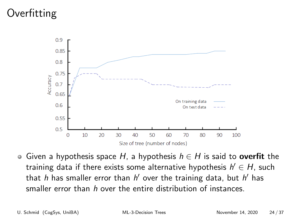# Overfitting



Given a hypothesis space H, a hypothesis  $h \in H$  is said to overfit the training data if there exists some alternative hypothesis  $h' \in H$ , such that  $h$  has smaller error than  $h'$  over the training data, but  $h'$  has smaller error than h over the entire distribution of instances.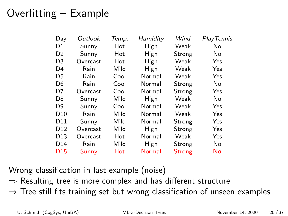# Overfitting – Example

| Day             | Outlook  | Temp. | Humidity | Wind          | <b>PlayTennis</b> |
|-----------------|----------|-------|----------|---------------|-------------------|
| D1              | Sunny    | Hot   | High     | Weak          | No.               |
| D <sub>2</sub>  | Sunny    | Hot   | High     | Strong        | No.               |
| D <sub>3</sub>  | Overcast | Hot   | High     | Weak          | Yes               |
| D <sub>4</sub>  | Rain     | Mild  | High     | Weak          | Yes               |
| D <sub>5</sub>  | Rain     | Cool  | Normal   | Weak          | Yes               |
| D <sub>6</sub>  | Rain     | Cool  | Normal   | Strong        | No.               |
| D7              | Overcast | Cool  | Normal   | Strong        | Yes               |
| D <sub>8</sub>  | Sunny    | Mild  | High     | Weak          | No                |
| D <sub>9</sub>  | Sunny    | Cool  | Normal   | Weak          | Yes               |
| D <sub>10</sub> | Rain     | Mild  | Normal   | Weak          | Yes               |
| D11             | Sunny    | Mild  | Normal   | Strong        | Yes               |
| D <sub>12</sub> | Overcast | Mild  | High     | Strong        | Yes               |
| D <sub>13</sub> | Overcast | Hot   | Normal   | Weak          | Yes               |
| D <sub>14</sub> | Rain     | Mild  | High     | Strong        | No                |
| D <sub>15</sub> | Sunny    | Hot   | Normal   | <b>Strong</b> | No                |

Wrong classification in last example (noise)

- $\Rightarrow$  Resulting tree is more complex and has different structure
- $\Rightarrow$  Tree still fits training set but wrong classification of unseen examples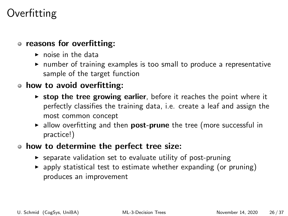## **Overfitting**

#### o reasons for overfitting:

- $\triangleright$  noise in the data
- $\triangleright$  number of training examples is too small to produce a representative sample of the target function

#### how to avoid overfitting:

- $\triangleright$  stop the tree growing earlier, before it reaches the point where it perfectly classifies the training data, i.e. create a leaf and assign the most common concept
- $\triangleright$  allow overfitting and then **post-prune** the tree (more successful in practice!)
- how to determine the perfect tree size:
	- $\triangleright$  separate validation set to evaluate utility of post-pruning
	- $\triangleright$  apply statistical test to estimate whether expanding (or pruning) produces an improvement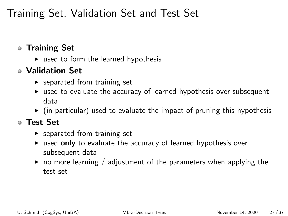## Training Set, Validation Set and Test Set

#### Training Set

 $\triangleright$  used to form the learned hypothesis

#### Validation Set

- $\blacktriangleright$  separated from training set
- $\triangleright$  used to evaluate the accuracy of learned hypothesis over subsequent data
- $\triangleright$  (in particular) used to evaluate the impact of pruning this hypothesis

#### Test Set

- $\blacktriangleright$  separated from training set
- $\triangleright$  used only to evaluate the accuracy of learned hypothesis over subsequent data
- $\triangleright$  no more learning / adjustment of the parameters when applying the test set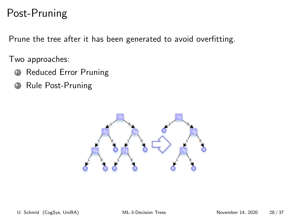## Post-Pruning

Prune the tree after it has been generated to avoid overfitting.

Two approaches:

- **1** Reduced Error Pruning
- <sup>2</sup> Rule Post-Pruning

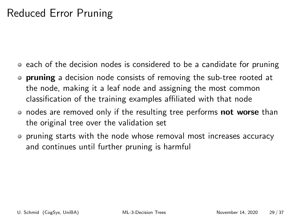## Reduced Error Pruning

- each of the decision nodes is considered to be a candidate for pruning
- **pruning** a decision node consists of removing the sub-tree rooted at the node, making it a leaf node and assigning the most common classification of the training examples affiliated with that node
- nodes are removed only if the resulting tree performs **not worse** than the original tree over the validation set
- pruning starts with the node whose removal most increases accuracy and continues until further pruning is harmful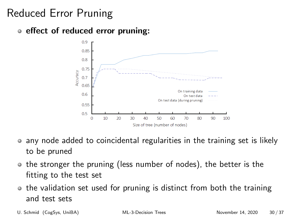# Reduced Error Pruning

#### • effect of reduced error pruning:



- any node added to coincidental regularities in the training set is likely  $\bullet$ to be pruned
- the stronger the pruning (less number of nodes), the better is the fitting to the test set
- the validation set used for pruning is distinct from both the training and test sets
-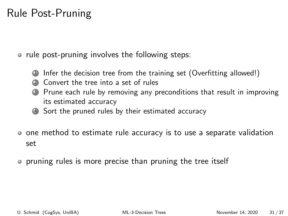## Rule Post-Pruning

• rule post-pruning involves the following steps:

- Infer the decision tree from the training set (Overfitting allowed!)
- <sup>2</sup> Convert the tree into a set of rules
- Prune each rule by removing any preconditions that result in improving its estimated accuracy
- <sup>4</sup> Sort the pruned rules by their estimated accuracy
- one method to estimate rule accuracy is to use a separate validation set
- pruning rules is more precise than pruning the tree itself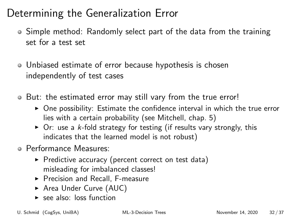# Determining the Generalization Error

- Simple method: Randomly select part of the data from the training set for a test set
- Unbiased estimate of error because hypothesis is chosen independently of test cases
- But: the estimated error may still vary from the true error!
	- $\triangleright$  One possibility: Estimate the confidence interval in which the true error lies with a certain probability (see Mitchell, chap. 5)
	- $\triangleright$  Or: use a k-fold strategy for testing (if results vary strongly, this indicates that the learned model is not robust)
- Performance Measures:
	- $\triangleright$  Predictive accuracy (percent correct on test data) misleading for imbalanced classes!
	- ▶ Precision and Recall, F-measure
	- ▶ Area Under Curve (AUC)
	- $\blacktriangleright$  see also: loss function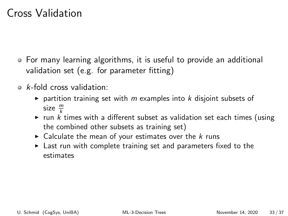### Cross Validation

- For many learning algorithms, it is useful to provide an additional validation set (e.g. for parameter fitting)
- $\circ$  k-fold cross validation:
	- partition training set with m examples into k disjoint subsets of size  $\frac{m}{k}$
	- run  $k$  times with a different subset as validation set each times (using the combined other subsets as training set)
	- $\triangleright$  Calculate the mean of your estimates over the k runs
	- $\blacktriangleright$  Last run with complete training set and parameters fixed to the estimates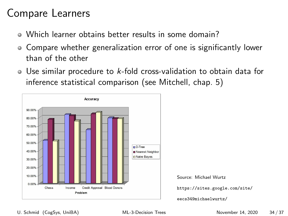## Compare Learners

- Which learner obtains better results in some domain?
- Compare whether generalization error of one is significantly lower than of the other
- Use similar procedure to k-fold cross-validation to obtain data for inference statistical comparison (see Mitchell, chap. 5)

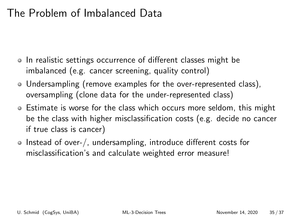### The Problem of Imbalanced Data

- In realistic settings occurrence of different classes might be imbalanced (e.g. cancer screening, quality control)
- Undersampling (remove examples for the over-represented class), oversampling (clone data for the under-represented class)
- **Example 1** Estimate is worse for the class which occurs more seldom, this might be the class with higher misclassification costs (e.g. decide no cancer if true class is cancer)
- Instead of over-/, undersampling, introduce different costs for misclassification's and calculate weighted error measure!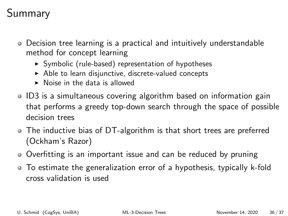# Summary

- Decision tree learning is a practical and intuitively understandable method for concept learning
	- $\triangleright$  Symbolic (rule-based) representation of hypotheses
	- $\triangleright$  Able to learn disjunctive, discrete-valued concepts
	- $\triangleright$  Noise in the data is allowed
- ID3 is a simultaneous covering algorithm based on information gain that performs a greedy top-down search through the space of possible decision trees
- The inductive bias of DT-algorithm is that short trees are preferred (Ockham's Razor)
- Overfitting is an important issue and can be reduced by pruning
- To estimate the generalization error of a hypothesis, typically k-fold cross validation is used